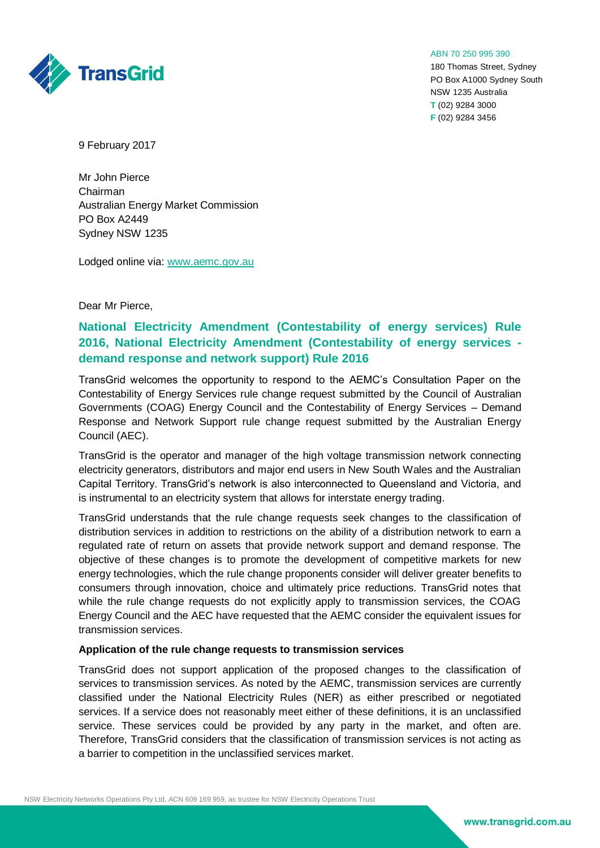

180 Thomas Street, Sydney PO Box A1000 Sydney South NSW 1235 Australia **T** (02) 9284 3000 **F** (02) 9284 3456



9 February 2017

**TransGrid** 

Mr John Pierce Chairman Australian Energy Market Commission PO Box A2449 Sydney NSW 1235

Lodged online via: [www.aemc.gov.au](http://www.aemc.gov.au/)

## Dear Mr Pierce,

## **National Electricity Amendment (Contestability of energy services) Rule 2016, National Electricity Amendment (Contestability of energy services demand response and network support) Rule 2016**

TransGrid welcomes the opportunity to respond to the AEMC's Consultation Paper on the Contestability of Energy Services rule change request submitted by the Council of Australian Governments (COAG) Energy Council and the Contestability of Energy Services – Demand Response and Network Support rule change request submitted by the Australian Energy Council (AEC).

TransGrid is the operator and manager of the high voltage transmission network connecting electricity generators, distributors and major end users in New South Wales and the Australian Capital Territory. TransGrid's network is also interconnected to Queensland and Victoria, and is instrumental to an electricity system that allows for interstate energy trading.

TransGrid understands that the rule change requests seek changes to the classification of distribution services in addition to restrictions on the ability of a distribution network to earn a regulated rate of return on assets that provide network support and demand response. The objective of these changes is to promote the development of competitive markets for new energy technologies, which the rule change proponents consider will deliver greater benefits to consumers through innovation, choice and ultimately price reductions. TransGrid notes that while the rule change requests do not explicitly apply to transmission services, the COAG Energy Council and the AEC have requested that the AEMC consider the equivalent issues for transmission services.

## **Application of the rule change requests to transmission services**

TransGrid does not support application of the proposed changes to the classification of services to transmission services. As noted by the AEMC, transmission services are currently classified under the National Electricity Rules (NER) as either prescribed or negotiated services. If a service does not reasonably meet either of these definitions, it is an unclassified service. These services could be provided by any party in the market, and often are. Therefore, TransGrid considers that the classification of transmission services is not acting as a barrier to competition in the unclassified services market.